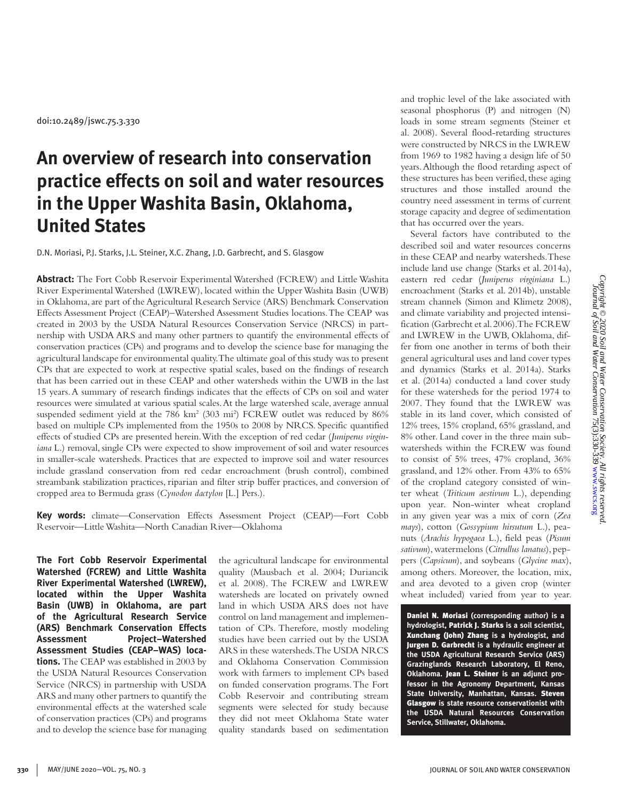doi:10.2489/jswc.75.3.330

# **An overview of research into conservation practice effects on soil and water resources in the Upper Washita Basin, Oklahoma, United States**

D.N. Moriasi, P.J. Starks, J.L. Steiner, X.C. Zhang, J.D. Garbrecht, and S. Glasgow

**Abstract:** The Fort Cobb Reservoir Experimental Watershed (FCREW) and Little Washita River Experimental Watershed (LWREW), located within the Upper Washita Basin (UWB) in Oklahoma, are part of the Agricultural Research Service (ARS) Benchmark Conservation Effects Assessment Project (CEAP)–Watershed Assessment Studies locations. The CEAP was created in 2003 by the USDA Natural Resources Conservation Service (NRCS) in partnership with USDA ARS and many other partners to quantify the environmental effects of conservation practices (CPs) and programs and to develop the science base for managing the agricultural landscape for environmental quality. The ultimate goal of this study was to present CPs that are expected to work at respective spatial scales, based on the findings of research that has been carried out in these CEAP and other watersheds within the UWB in the last 15 years. A summary of research findings indicates that the effects of CPs on soil and water resources were simulated at various spatial scales. At the large watershed scale, average annual suspended sediment yield at the  $786 \text{ km}^2 \ (303 \text{ mi}^2)$  FCREW outlet was reduced by  $86\%$ based on multiple CPs implemented from the 1950s to 2008 by NRCS. Specific quantified effects of studied CPs are presented herein. With the exception of red cedar (*Juniperus virginiana* L.) removal, single CPs were expected to show improvement of soil and water resources in smaller-scale watersheds. Practices that are expected to improve soil and water resources include grassland conservation from red cedar encroachment (brush control), combined streambank stabilization practices, riparian and filter strip buffer practices, and conversion of cropped area to Bermuda grass (*Cynodon dactylon* [L.] Pers.).

**Key words:** climate—Conservation Effects Assessment Project (CEAP)—Fort Cobb Reservoir—Little Washita—North Canadian River—Oklahoma

**The Fort Cobb Reservoir Experimental Watershed (FCREW) and Little Washita River Experimental Watershed (LWREW), located within the Upper Washita Basin (UWB) in Oklahoma, are part of the Agricultural Research Service (ARS) Benchmark Conservation Effects Assessment Project–Watershed Assessment Studies (CEAP–WAS) locations.** The CEAP was established in 2003 by the USDA Natural Resources Conservation Service (NRCS) in partnership with USDA ARS and many other partners to quantify the environmental effects at the watershed scale of conservation practices (CPs) and programs and to develop the science base for managing the agricultural landscape for environmental quality (Mausbach et al. 2004; Duriancik et al. 2008). The FCREW and LWREW watersheds are located on privately owned land in which USDA ARS does not have control on land management and implementation of CPs. Therefore, mostly modeling studies have been carried out by the USDA ARS in these watersheds. The USDA NRCS and Oklahoma Conservation Commission work with farmers to implement CPs based on funded conservation programs. The Fort Cobb Reservoir and contributing stream segments were selected for study because they did not meet Oklahoma State water quality standards based on sedimentation

and trophic level of the lake associated with seasonal phosphorus (P) and nitrogen (N) loads in some stream segments (Steiner et al. 2008). Several flood-retarding structures were constructed by NRCS in the LWREW from 1969 to 1982 having a design life of 50 years. Although the flood retarding aspect of these structures has been verified, these aging structures and those installed around the country need assessment in terms of current storage capacity and degree of sedimentation that has occurred over the years.

Several factors have contributed to the described soil and water resources concerns in these CEAP and nearby watersheds. These include land use change (Starks et al. 2014a), eastern red cedar (*Juniperus virginiana* L.) encroachment (Starks et al. 2014b), unstable stream channels (Simon and Klimetz 2008), and climate variability and projected intensification (Garbrecht et al. 2006). The FCREW and LWREW in the UWB, Oklahoma, differ from one another in terms of both their general agricultural uses and land cover types and dynamics (Starks et al. 2014a). Starks et al. (2014a) conducted a land cover study for these watersheds for the period 1974 to 2007. They found that the LWREW was stable in its land cover, which consisted of 12% trees, 15% cropland, 65% grassland, and 8% other. Land cover in the three main subwatersheds within the FCREW was found to consist of 5% trees, 47% cropland, 36% grassland, and 12% other. From 43% to 65% of the cropland category consisted of winter wheat (*Triticum aestivum* L.), depending upon year. Non-winter wheat cropland in any given year was a mix of corn (*Zea mays*), cotton (*Gossypium hirsutum* L.), peanuts (*Arachis hypogaea* L.), field peas (*Pisum sativum*), watermelons (*Citrullus lanatus*), peppers (*Capsicum*), and soybeans (*Glycine max*), among others. Moreover, the location, mix, and area devoted to a given crop (winter wheat included) varied from year to year.

Daniel N. Moriasi **(corresponding author) is a hydrologist,** Patrick J. Starks **is a soil scientist,**  Xunchang (John) Zhang **is a hydrologist, and**  Jurgen D. Garbrecht **is a hydraulic engineer at the USDA Agricultural Research Service (ARS) Grazinglands Research Laboratory, El Reno, Oklahoma.** Jean L. Steiner **is an adjunct professor in the Agronomy Department, Kansas State University, Manhattan, Kansas.** Steven Glasgow **is state resource conservationist with the USDA Natural Resources Conservation Service, Stillwater, Oklahoma.**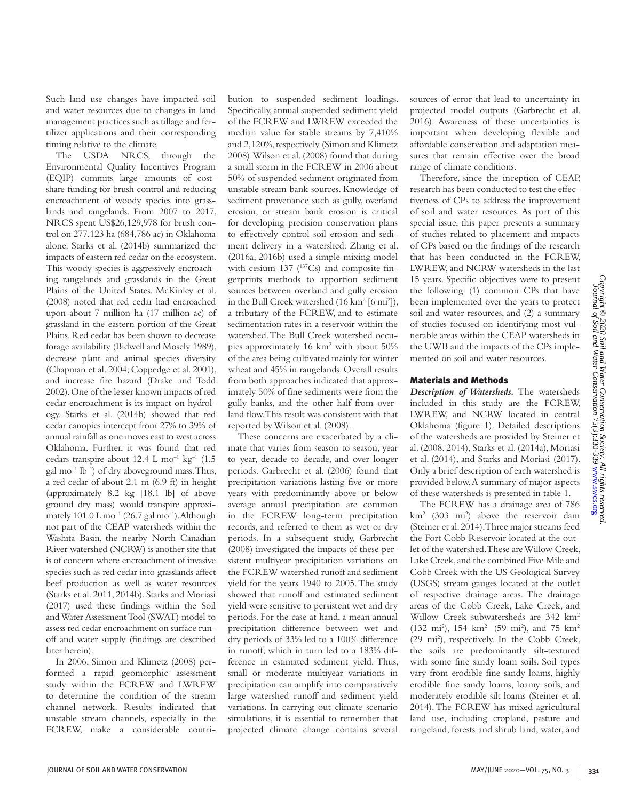Such land use changes have impacted soil and water resources due to changes in land management practices such as tillage and fertilizer applications and their corresponding timing relative to the climate.

The USDA NRCS, through the Environmental Quality Incentives Program (EQIP) commits large amounts of costshare funding for brush control and reducing encroachment of woody species into grasslands and rangelands. From 2007 to 2017, NRCS spent US\$26,129,978 for brush control on 277,123 ha (684,786 ac) in Oklahoma alone. Starks et al. (2014b) summarized the impacts of eastern red cedar on the ecosystem. This woody species is aggressively encroaching rangelands and grasslands in the Great Plains of the United States. McKinley et al. (2008) noted that red cedar had encroached upon about 7 million ha (17 million ac) of grassland in the eastern portion of the Great Plains. Red cedar has been shown to decrease forage availability (Bidwell and Mosely 1989), decrease plant and animal species diversity (Chapman et al. 2004; Coppedge et al. 2001), and increase fire hazard (Drake and Todd 2002). One of the lesser known impacts of red cedar encroachment is its impact on hydrology. Starks et al. (2014b) showed that red cedar canopies intercept from 27% to 39% of annual rainfall as one moves east to west across Oklahoma. Further, it was found that red cedars transpire about  $12.4 \,$ L mo<sup>-1</sup> kg<sup>-1</sup> (1.5) gal  $mo^{-1}$  lb<sup>-1</sup>) of dry aboveground mass. Thus, a red cedar of about 2.1 m (6.9 ft) in height (approximately 8.2 kg [18.1 lb] of above ground dry mass) would transpire approximately  $101.0$  L mo<sup>-1</sup> (26.7 gal mo<sup>-1</sup>). Although not part of the CEAP watersheds within the Washita Basin, the nearby North Canadian River watershed (NCRW) is another site that is of concern where encroachment of invasive species such as red cedar into grasslands affect beef production as well as water resources (Starks et al. 2011, 2014b). Starks and Moriasi (2017) used these findings within the Soil and Water Assessment Tool (SWAT) model to assess red cedar encroachment on surface runoff and water supply (findings are described later herein).

In 2006, Simon and Klimetz (2008) performed a rapid geomorphic assessment study within the FCREW and LWREW to determine the condition of the stream channel network. Results indicated that unstable stream channels, especially in the FCREW, make a considerable contribution to suspended sediment loadings. Specifically, annual suspended sediment yield of the FCREW and LWREW exceeded the median value for stable streams by 7,410% and 2,120%, respectively (Simon and Klimetz 2008). Wilson et al. (2008) found that during a small storm in the FCREW in 2006 about 50% of suspended sediment originated from unstable stream bank sources. Knowledge of sediment provenance such as gully, overland erosion, or stream bank erosion is critical for developing precision conservation plans to effectively control soil erosion and sediment delivery in a watershed. Zhang et al. (2016a, 2016b) used a simple mixing model with cesium-137 ( $137Cs$ ) and composite fingerprints methods to apportion sediment sources between overland and gully erosion in the Bull Creek watershed (16 km<sup>2</sup> [6 mi<sup>2</sup>]), a tributary of the FCREW, and to estimate sedimentation rates in a reservoir within the watershed. The Bull Creek watershed occupies approximately 16 km2 with about 50% of the area being cultivated mainly for winter wheat and 45% in rangelands. Overall results from both approaches indicated that approximately 50% of fine sediments were from the gully banks, and the other half from overland flow. This result was consistent with that reported by Wilson et al. (2008).

These concerns are exacerbated by a climate that varies from season to season, year to year, decade to decade, and over longer periods. Garbrecht et al. (2006) found that precipitation variations lasting five or more years with predominantly above or below average annual precipitation are common in the FCREW long-term precipitation records, and referred to them as wet or dry periods. In a subsequent study, Garbrecht (2008) investigated the impacts of these persistent multiyear precipitation variations on the FCREW watershed runoff and sediment yield for the years 1940 to 2005. The study showed that runoff and estimated sediment yield were sensitive to persistent wet and dry periods. For the case at hand, a mean annual precipitation difference between wet and dry periods of 33% led to a 100% difference in runoff, which in turn led to a 183% difference in estimated sediment yield. Thus, small or moderate multiyear variations in precipitation can amplify into comparatively large watershed runoff and sediment yield variations. In carrying out climate scenario simulations, it is essential to remember that projected climate change contains several

sources of error that lead to uncertainty in projected model outputs (Garbrecht et al. 2016). Awareness of these uncertainties is important when developing flexible and affordable conservation and adaptation measures that remain effective over the broad range of climate conditions.

Therefore, since the inception of CEAP, research has been conducted to test the effectiveness of CPs to address the improvement of soil and water resources. As part of this special issue, this paper presents a summary of studies related to placement and impacts of CPs based on the findings of the research that has been conducted in the FCREW, LWREW, and NCRW watersheds in the last 15 years. Specific objectives were to present the following: (1) common CPs that have been implemented over the years to protect soil and water resources, and (2) a summary of studies focused on identifying most vulnerable areas within the CEAP watersheds in the UWB and the impacts of the CPs implemented on soil and water resources.

## Materials and Methods

*Description of Watersheds.* The watersheds included in this study are the FCREW, LWREW, and NCRW located in central Oklahoma (figure 1). Detailed descriptions of the watersheds are provided by Steiner et al. (2008, 2014), Starks et al. (2014a), Moriasi et al. (2014), and Starks and Moriasi (2017). Only a brief description of each watershed is provided below. A summary of major aspects of these watersheds is presented in table 1.

The FCREW has a drainage area of 786 km2 (303 mi2 ) above the reservoir dam (Steiner et al. 2014). Three major streams feed the Fort Cobb Reservoir located at the outlet of the watershed. These are Willow Creek, Lake Creek, and the combined Five Mile and Cobb Creek with the US Geological Survey (USGS) stream gauges located at the outlet of respective drainage areas. The drainage areas of the Cobb Creek, Lake Creek, and Willow Creek subwatersheds are 342 km<sup>2</sup> (132 mi<sup>2</sup>), 154 km<sup>2</sup> (59 mi<sup>2</sup>), and 75 km<sup>2</sup> (29 mi<sup>2</sup>), respectively. In the Cobb Creek, the soils are predominantly silt-textured with some fine sandy loam soils. Soil types vary from erodible fine sandy loams, highly erodible fine sandy loams, loamy soils, and moderately erodible silt loams (Steiner et al. 2014). The FCREW has mixed agricultural land use, including cropland, pasture and rangeland, forests and shrub land, water, and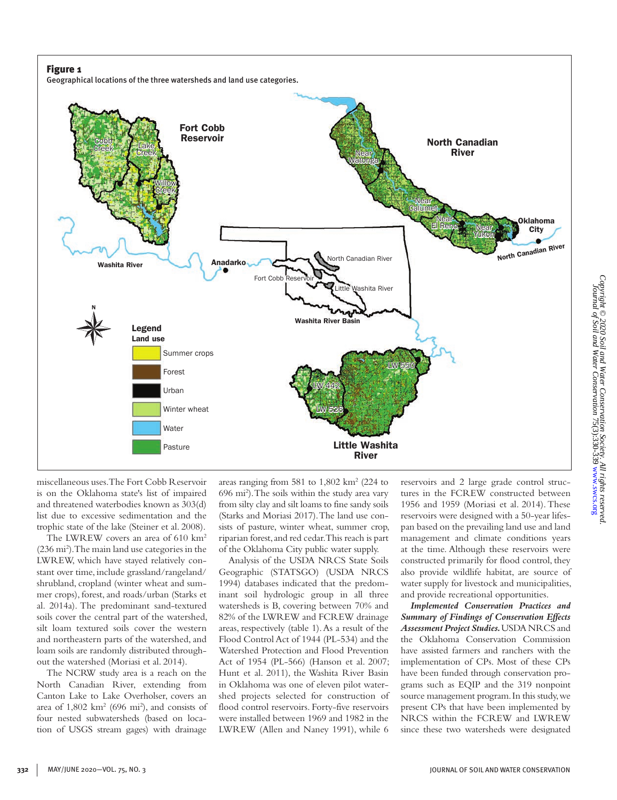## Figure 1

Geographical locations of the three watersheds and land use categories.



miscellaneous uses. The Fort Cobb Reservoir is on the Oklahoma state's list of impaired and threatened waterbodies known as 303(d) list due to excessive sedimentation and the trophic state of the lake (Steiner et al. 2008).

The LWREW covers an area of 610 km<sup>2</sup> (236 mi2 ). The main land use categories in the LWREW, which have stayed relatively constant over time, include grassland/rangeland/ shrubland, cropland (winter wheat and summer crops), forest, and roads/urban (Starks et al. 2014a). The predominant sand-textured soils cover the central part of the watershed, silt loam textured soils cover the western and northeastern parts of the watershed, and loam soils are randomly distributed throughout the watershed (Moriasi et al. 2014).

The NCRW study area is a reach on the North Canadian River, extending from Canton Lake to Lake Overholser, covers an area of  $1,802 \text{ km}^2$  (696 mi<sup>2</sup>), and consists of four nested subwatersheds (based on location of USGS stream gages) with drainage

areas ranging from  $581$  to  $1,802$  km<sup>2</sup> (224 to 696 mi2 ). The soils within the study area vary from silty clay and silt loams to fine sandy soils (Starks and Moriasi 2017). The land use consists of pasture, winter wheat, summer crop, riparian forest, and red cedar. This reach is part of the Oklahoma City public water supply.

Analysis of the USDA NRCS State Soils Geographic (STATSGO) (USDA NRCS 1994) databases indicated that the predominant soil hydrologic group in all three watersheds is B, covering between 70% and 82% of the LWREW and FCREW drainage areas, respectively (table 1). As a result of the Flood Control Act of 1944 (PL-534) and the Watershed Protection and Flood Prevention Act of 1954 (PL-566) (Hanson et al. 2007; Hunt et al. 2011), the Washita River Basin in Oklahoma was one of eleven pilot watershed projects selected for construction of flood control reservoirs. Forty-five reservoirs were installed between 1969 and 1982 in the LWREW (Allen and Naney 1991), while 6

reservoirs and 2 large grade control structures in the FCREW constructed between 1956 and 1959 (Moriasi et al. 2014). These reservoirs were designed with a 50-year lifespan based on the prevailing land use and land management and climate conditions years at the time. Although these reservoirs were constructed primarily for flood control, they also provide wildlife habitat, are source of water supply for livestock and municipalities, and provide recreational opportunities.

*Implemented Conservation Practices and Summary of Findings of Conservation Effects Assessment Project Studies.* USDA NRCS and the Oklahoma Conservation Commission have assisted farmers and ranchers with the implementation of CPs. Most of these CPs have been funded through conservation programs such as EQIP and the 319 nonpoint source management program. In this study, we present CPs that have been implemented by NRCS within the FCREW and LWREW since these two watersheds were designated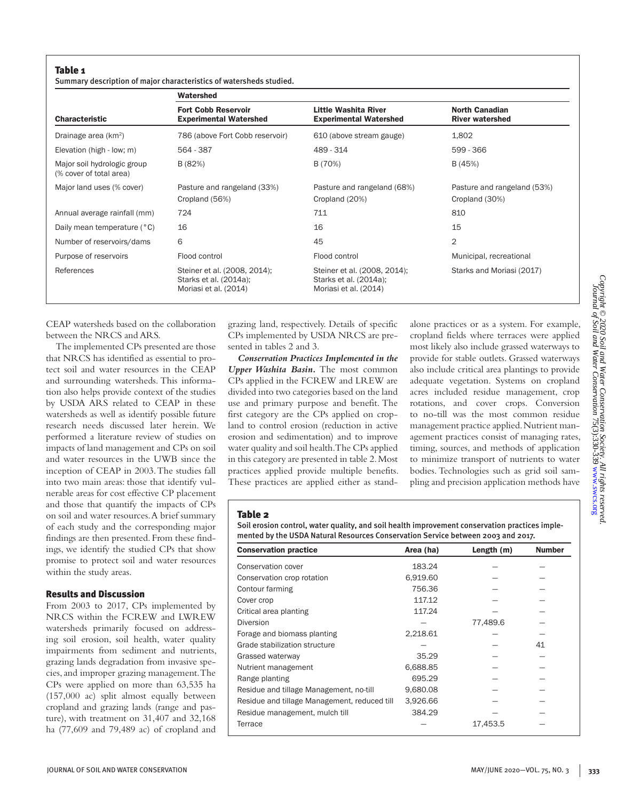## Table 1

Summary description of major characteristics of watersheds studied.

|                                                        | Watershed                                                                       |                                                                                 |                                                 |  |  |
|--------------------------------------------------------|---------------------------------------------------------------------------------|---------------------------------------------------------------------------------|-------------------------------------------------|--|--|
| <b>Characteristic</b>                                  | <b>Fort Cobb Reservoir</b><br><b>Experimental Watershed</b>                     | Little Washita River<br><b>Experimental Watershed</b>                           | <b>North Canadian</b><br><b>River watershed</b> |  |  |
| Drainage area (km <sup>2</sup> )                       | 786 (above Fort Cobb reservoir)                                                 | 610 (above stream gauge)                                                        | 1,802                                           |  |  |
| Elevation (high - low; m)                              | 564 - 387                                                                       | 489 - 314                                                                       | 599 - 366                                       |  |  |
| Major soil hydrologic group<br>(% cover of total area) | B (82%)                                                                         | B (70%)                                                                         | B (45%)                                         |  |  |
| Major land uses (% cover)                              | Pasture and rangeland (33%)<br>Cropland (56%)                                   | Pasture and rangeland (68%)<br>Cropland (20%)                                   | Pasture and rangeland (53%)<br>Cropland (30%)   |  |  |
| Annual average rainfall (mm)                           | 724                                                                             | 711                                                                             | 810                                             |  |  |
| Daily mean temperature (°C)                            | 16                                                                              | 16                                                                              | 15                                              |  |  |
| Number of reservoirs/dams                              | 6                                                                               | 45                                                                              | 2                                               |  |  |
| Purpose of reservoirs                                  | Flood control                                                                   | Flood control                                                                   | Municipal, recreational                         |  |  |
| References                                             | Steiner et al. (2008, 2014);<br>Starks et al. (2014a);<br>Moriasi et al. (2014) | Steiner et al. (2008, 2014);<br>Starks et al. (2014a);<br>Moriasi et al. (2014) | Starks and Moriasi (2017)                       |  |  |

CEAP watersheds based on the collaboration between the NRCS and ARS.

The implemented CPs presented are those that NRCS has identified as essential to protect soil and water resources in the CEAP and surrounding watersheds. This information also helps provide context of the studies by USDA ARS related to CEAP in these watersheds as well as identify possible future research needs discussed later herein. We performed a literature review of studies on impacts of land management and CPs on soil and water resources in the UWB since the inception of CEAP in 2003. The studies fall into two main areas: those that identify vulnerable areas for cost effective CP placement and those that quantify the impacts of CPs on soil and water resources. A brief summary of each study and the corresponding major findings are then presented. From these findings, we identify the studied CPs that show promise to protect soil and water resources within the study areas.

## Results and Discussion

From 2003 to 2017, CPs implemented by NRCS within the FCREW and LWREW watersheds primarily focused on addressing soil erosion, soil health, water quality impairments from sediment and nutrients, grazing lands degradation from invasive species, and improper grazing management. The CPs were applied on more than 63,535 ha (157,000 ac) split almost equally between cropland and grazing lands (range and pasture), with treatment on 31,407 and 32,168 ha (77,609 and 79,489 ac) of cropland and

grazing land, respectively. Details of specific CPs implemented by USDA NRCS are presented in tables 2 and 3.

*Conservation Practices Implemented in the Upper Washita Basin.* The most common CPs applied in the FCREW and LREW are divided into two categories based on the land use and primary purpose and benefit. The first category are the CPs applied on cropland to control erosion (reduction in active erosion and sedimentation) and to improve water quality and soil health. The CPs applied in this category are presented in table 2. Most practices applied provide multiple benefits. These practices are applied either as stand-

alone practices or as a system. For example, cropland fields where terraces were applied most likely also include grassed waterways to provide for stable outlets. Grassed waterways also include critical area plantings to provide adequate vegetation. Systems on cropland acres included residue management, crop rotations, and cover crops. Conversion to no-till was the most common residue management practice applied. Nutrient management practices consist of managing rates, timing, sources, and methods of application to minimize transport of nutrients to water bodies. Technologies such as grid soil sampling and precision application methods have

#### Table 2

Soil erosion control, water quality, and soil health improvement conservation practices implemented by the USDA Natural Resources Conservation Service between 2003 and 2017.

| <b>Conservation practice</b>                 | Area (ha) | Length (m) | <b>Number</b> |
|----------------------------------------------|-----------|------------|---------------|
| Conservation cover                           | 183.24    |            |               |
| Conservation crop rotation                   | 6,919.60  |            |               |
| Contour farming                              | 756.36    |            |               |
| Cover crop                                   | 117.12    |            |               |
| Critical area planting                       | 117.24    |            |               |
| <b>Diversion</b>                             |           | 77,489.6   |               |
| Forage and biomass planting                  | 2,218.61  |            |               |
| Grade stabilization structure                |           |            | 41            |
| Grassed waterway                             | 35.29     |            |               |
| Nutrient management                          | 6,688.85  |            |               |
| Range planting                               | 695.29    |            |               |
| Residue and tillage Management, no-till      | 9,680.08  |            |               |
| Residue and tillage Management, reduced till | 3,926.66  |            |               |
| Residue management, mulch till               | 384.29    |            |               |
| Terrace                                      |           | 17.453.5   |               |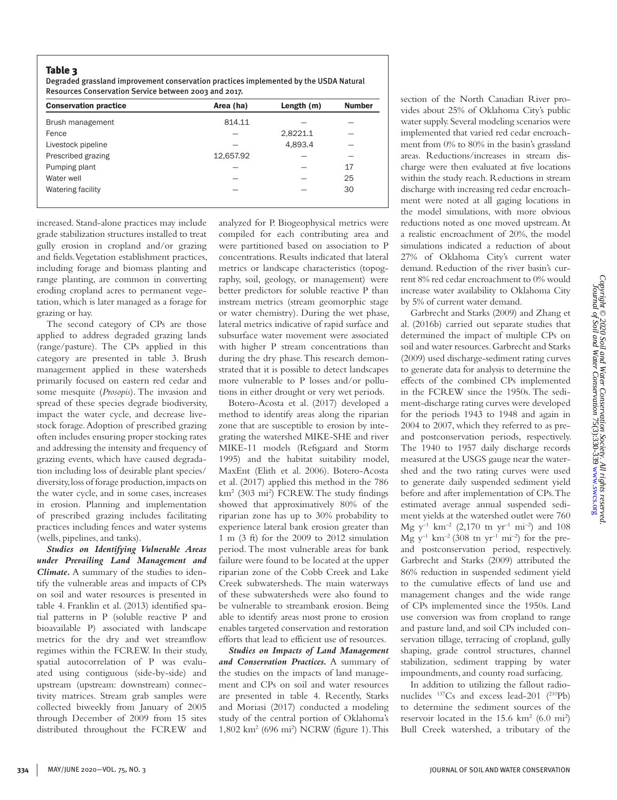# Table 3

Degraded grassland improvement conservation practices implemented by the USDA Natural Resources Conservation Service between 2003 and 2017.

| Area (ha) | Length $(m)$ | <b>Number</b> |
|-----------|--------------|---------------|
| 814.11    |              |               |
|           | 2,8221.1     |               |
|           | 4,893.4      |               |
| 12,657.92 |              |               |
|           |              | 17            |
|           |              | 25            |
|           |              | 30            |
|           |              |               |

increased. Stand-alone practices may include grade stabilization structures installed to treat gully erosion in cropland and/or grazing and fields. Vegetation establishment practices, including forage and biomass planting and range planting, are common in converting eroding cropland acres to permanent vegetation, which is later managed as a forage for grazing or hay.

The second category of CPs are those applied to address degraded grazing lands (range/pasture). The CPs applied in this category are presented in table 3. Brush management applied in these watersheds primarily focused on eastern red cedar and some mesquite (*Prosopis*). The invasion and spread of these species degrade biodiversity, impact the water cycle, and decrease livestock forage. Adoption of prescribed grazing often includes ensuring proper stocking rates and addressing the intensity and frequency of grazing events, which have caused degradation including loss of desirable plant species/ diversity, loss of forage production, impacts on the water cycle, and in some cases, increases in erosion. Planning and implementation of prescribed grazing includes facilitating practices including fences and water systems (wells, pipelines, and tanks).

*Studies on Identifying Vulnerable Areas under Prevailing Land Management and Climate.* A summary of the studies to identify the vulnerable areas and impacts of CPs on soil and water resources is presented in table 4. Franklin et al. (2013) identified spatial patterns in P (soluble reactive P and bioavailable P) associated with landscape metrics for the dry and wet streamflow regimes within the FCREW. In their study, spatial autocorrelation of P was evaluated using contiguous (side-by-side) and upstream (upstream: downstream) connectivity matrices. Stream grab samples were collected biweekly from January of 2005 through December of 2009 from 15 sites distributed throughout the FCREW and

analyzed for P. Biogeophysical metrics were compiled for each contributing area and were partitioned based on association to P concentrations. Results indicated that lateral metrics or landscape characteristics (topography, soil, geology, or management) were better predictors for soluble reactive P than instream metrics (stream geomorphic stage or water chemistry). During the wet phase, lateral metrics indicative of rapid surface and subsurface water movement were associated with higher P stream concentrations than during the dry phase. This research demonstrated that it is possible to detect landscapes more vulnerable to P losses and/or pollutions in either drought or very wet periods.

Botero-Acosta et al. (2017) developed a method to identify areas along the riparian zone that are susceptible to erosion by integrating the watershed MIKE-SHE and river MIKE-11 models (Refsgaard and Storm 1995) and the habitat suitability model, MaxEnt (Elith et al. 2006). Botero-Acosta et al. (2017) applied this method in the 786 km<sup>2</sup> (303 mi<sup>2</sup>) FCREW. The study findings showed that approximatively 80% of the riparian zone has up to 30% probability to experience lateral bank erosion greater than 1 m (3 ft) for the 2009 to 2012 simulation period. The most vulnerable areas for bank failure were found to be located at the upper riparian zone of the Cobb Creek and Lake Creek subwatersheds. The main waterways of these subwatersheds were also found to be vulnerable to streambank erosion. Being able to identify areas most prone to erosion enables targeted conservation and restoration efforts that lead to efficient use of resources.

*Studies on Impacts of Land Management and Conservation Practices.* A summary of the studies on the impacts of land management and CPs on soil and water resources are presented in table 4. Recently, Starks and Moriasi (2017) conducted a modeling study of the central portion of Oklahoma's 1,802 km2 (696 mi2 ) NCRW (figure 1). This section of the North Canadian River provides about 25% of Oklahoma City's public water supply. Several modeling scenarios were implemented that varied red cedar encroachment from 0% to 80% in the basin's grassland areas. Reductions/increases in stream discharge were then evaluated at five locations within the study reach. Reductions in stream discharge with increasing red cedar encroachment were noted at all gaging locations in the model simulations, with more obvious reductions noted as one moved upstream. At a realistic encroachment of 20%, the model simulations indicated a reduction of about 27% of Oklahoma City's current water demand. Reduction of the river basin's current 8% red cedar encroachment to 0% would increase water availability to Oklahoma City by 5% of current water demand.

Garbrecht and Starks (2009) and Zhang et al. (2016b) carried out separate studies that determined the impact of multiple CPs on soil and water resources. Garbrecht and Starks (2009) used discharge-sediment rating curves to generate data for analysis to determine the effects of the combined CPs implemented in the FCREW since the 1950s. The sediment-discharge rating curves were developed for the periods 1943 to 1948 and again in 2004 to 2007, which they referred to as preand postconservation periods, respectively. The 1940 to 1957 daily discharge records measured at the USGS gauge near the watershed and the two rating curves were used to generate daily suspended sediment yield before and after implementation of CPs. The estimated average annual suspended sediment yields at the watershed outlet were 760 Mg  $y^{-1}$  km<sup>-2</sup> (2,170 tn  $yr^{-1}$  mi<sup>-2</sup>) and 108 Mg y<sup>-1</sup> km<sup>-2</sup> (308 tn yr<sup>-1</sup> mi<sup>-2</sup>) for the preand postconservation period, respectively. Garbrecht and Starks (2009) attributed the 86% reduction in suspended sediment yield to the cumulative effects of land use and management changes and the wide range of CPs implemented since the 1950s. Land use conversion was from cropland to range and pasture land, and soil CPs included conservation tillage, terracing of cropland, gully shaping, grade control structures, channel stabilization, sediment trapping by water impoundments, and county road surfacing.

In addition to utilizing the fallout radionuclides  $^{137}Cs$  and excess lead-201 ( $^{210}Pb$ ) to determine the sediment sources of the reservoir located in the  $15.6 \text{ km}^2 (6.0 \text{ mi}^2)$ Bull Creek watershed, a tributary of the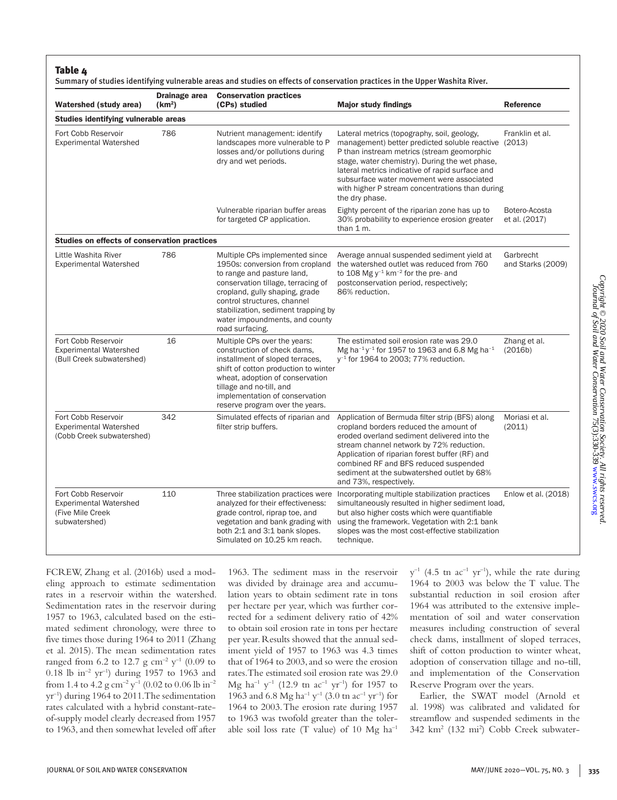| Watershed (study area)                                                                    | Drainage area<br>(km <sup>2</sup> )  | <b>Conservation practices</b><br>(CPs) studied                                                                                                                                                                                                                                                     | <b>Major study findings</b>                                                                                                                                                                                                                                                                                                                                              | <b>Reference</b>               |  |
|-------------------------------------------------------------------------------------------|--------------------------------------|----------------------------------------------------------------------------------------------------------------------------------------------------------------------------------------------------------------------------------------------------------------------------------------------------|--------------------------------------------------------------------------------------------------------------------------------------------------------------------------------------------------------------------------------------------------------------------------------------------------------------------------------------------------------------------------|--------------------------------|--|
|                                                                                           | Studies identifying vulnerable areas |                                                                                                                                                                                                                                                                                                    |                                                                                                                                                                                                                                                                                                                                                                          |                                |  |
| Fort Cobb Reservoir<br><b>Experimental Watershed</b>                                      | 786                                  | Nutrient management: identify<br>landscapes more vulnerable to P<br>losses and/or pollutions during<br>dry and wet periods.                                                                                                                                                                        | Lateral metrics (topography, soil, geology,<br>management) better predicted soluble reactive (2013)<br>P than instream metrics (stream geomorphic<br>stage, water chemistry). During the wet phase,<br>lateral metrics indicative of rapid surface and<br>subsurface water movement were associated<br>with higher P stream concentrations than during<br>the dry phase. | Franklin et al.                |  |
|                                                                                           |                                      | Vulnerable riparian buffer areas<br>for targeted CP application.                                                                                                                                                                                                                                   | Eighty percent of the riparian zone has up to<br>30% probability to experience erosion greater<br>than $1 \text{ m}$ .                                                                                                                                                                                                                                                   | Botero-Acosta<br>et al. (2017) |  |
| Studies on effects of conservation practices                                              |                                      |                                                                                                                                                                                                                                                                                                    |                                                                                                                                                                                                                                                                                                                                                                          |                                |  |
| Little Washita River<br><b>Experimental Watershed</b>                                     | 786                                  | Multiple CPs implemented since<br>1950s: conversion from cropland<br>to range and pasture land,<br>conservation tillage, terracing of<br>cropland, gully shaping, grade<br>control structures, channel<br>stabilization, sediment trapping by<br>water impoundments, and county<br>road surfacing. | Average annual suspended sediment yield at<br>the watershed outlet was reduced from 760<br>to 108 Mg y <sup>-1</sup> km <sup>-2</sup> for the pre- and<br>postconservation period, respectively;<br>86% reduction.                                                                                                                                                       | Garbrecht<br>and Starks (2009) |  |
| Fort Cobb Reservoir<br><b>Experimental Watershed</b><br>(Bull Creek subwatershed)         | 16                                   | Multiple CPs over the years:<br>construction of check dams,<br>installment of sloped terraces,<br>shift of cotton production to winter<br>wheat, adoption of conservation<br>tillage and no-till, and<br>implementation of conservation<br>reserve program over the years.                         | The estimated soil erosion rate was 29.0<br>Mg ha <sup>-1</sup> y <sup>-1</sup> for 1957 to 1963 and 6.8 Mg ha <sup>-1</sup><br>$y^{-1}$ for 1964 to 2003; 77% reduction.                                                                                                                                                                                                | Zhang et al.<br>(2016b)        |  |
| Fort Cobb Reservoir<br><b>Experimental Watershed</b><br>(Cobb Creek subwatershed)         | 342                                  | Simulated effects of riparian and<br>filter strip buffers.                                                                                                                                                                                                                                         | Application of Bermuda filter strip (BFS) along<br>cropland borders reduced the amount of<br>eroded overland sediment delivered into the<br>stream channel network by 72% reduction.<br>Application of riparian forest buffer (RF) and<br>combined RF and BFS reduced suspended<br>sediment at the subwatershed outlet by 68%<br>and 73%, respectively.                  | Moriasi et al.<br>(2011)       |  |
| Fort Cobb Reservoir<br><b>Experimental Watershed</b><br>(Five Mile Creek<br>subwatershed) | 110                                  | Three stabilization practices were<br>analyzed for their effectiveness:<br>grade control, riprap toe, and<br>vegetation and bank grading with<br>both 2:1 and 3:1 bank slopes.<br>Simulated on 10.25 km reach.                                                                                     | Incorporating multiple stabilization practices<br>simultaneously resulted in higher sediment load,<br>but also higher costs which were quantifiable<br>using the framework. Vegetation with 2:1 bank<br>slopes was the most cost-effective stabilization<br>technique.                                                                                                   | Enlow et al. (2018)            |  |

Summary of studies identifying vulnerable areas and studies on effects of conservation practices in the Upper Washita River.

FCREW, Zhang et al. (2016b) used a modeling approach to estimate sedimentation rates in a reservoir within the watershed. Sedimentation rates in the reservoir during 1957 to 1963, calculated based on the estimated sediment chronology, were three to five times those during 1964 to 2011 (Zhang et al. 2015). The mean sedimentation rates ranged from 6.2 to 12.7 g cm<sup>-2</sup> y<sup>-1</sup> (0.09 to 0.18 lb in<sup>-2</sup> yr<sup>-1</sup>) during 1957 to 1963 and from 1.4 to 4.2 g cm<sup>-2</sup> y<sup>-1</sup> (0.02 to 0.06 lb in<sup>-2</sup>  $yr^{-1}$ ) during 1964 to 2011. The sedimentation rates calculated with a hybrid constant-rateof-supply model clearly decreased from 1957 to 1963, and then somewhat leveled off after

Table 4

1963. The sediment mass in the reservoir was divided by drainage area and accumulation years to obtain sediment rate in tons per hectare per year, which was further corrected for a sediment delivery ratio of 42% to obtain soil erosion rate in tons per hectare per year. Results showed that the annual sediment yield of 1957 to 1963 was 4.3 times that of 1964 to 2003, and so were the erosion rates. The estimated soil erosion rate was 29.0 Mg ha<sup>-1</sup> y<sup>-1</sup> (12.9 tn ac<sup>-1</sup> yr<sup>-1</sup>) for 1957 to 1963 and 6.8 Mg ha<sup>-1</sup> y<sup>-1</sup> (3.0 tn ac<sup>-1</sup> yr<sup>-1</sup>) for 1964 to 2003. The erosion rate during 1957 to 1963 was twofold greater than the tolerable soil loss rate (T value) of 10 Mg  $ha^{-1}$ 

 $y^{-1}$  (4.5 tn ac<sup>-1</sup> yr<sup>-1</sup>), while the rate during 1964 to 2003 was below the T value. The substantial reduction in soil erosion after 1964 was attributed to the extensive implementation of soil and water conservation measures including construction of several check dams, installment of sloped terraces, shift of cotton production to winter wheat, adoption of conservation tillage and no-till, and implementation of the Conservation Reserve Program over the years.

Earlier, the SWAT model (Arnold et al. 1998) was calibrated and validated for streamflow and suspended sediments in the 342 km2 (132 mi2 ) Cobb Creek subwater-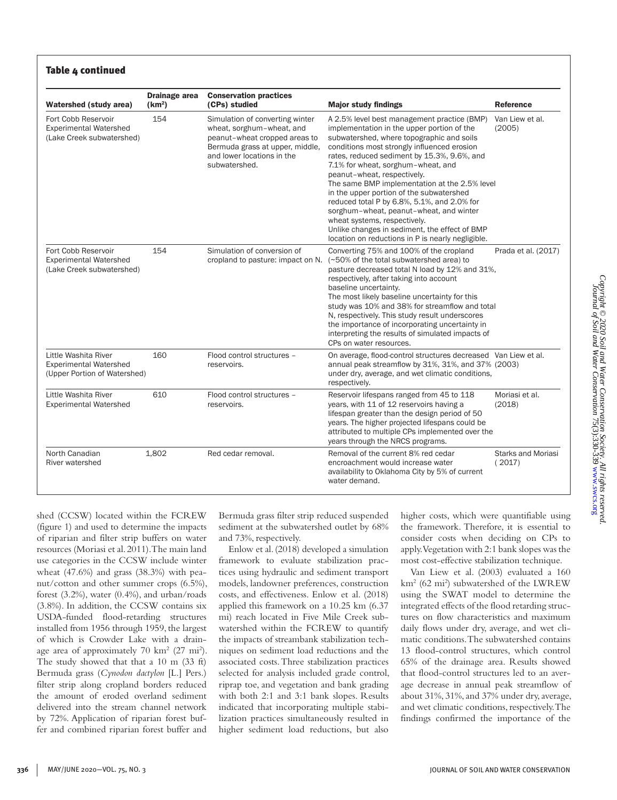# Table 4 continued

| Watershed (study area)                                                                | Drainage area<br>(km <sup>2</sup> ) | <b>Conservation practices</b><br>(CPs) studied                                                                                                                                  | <b>Major study findings</b>                                                                                                                                                                                                                                                                                                                                                                                                                                                                                                                                                                                                            | Reference                           |
|---------------------------------------------------------------------------------------|-------------------------------------|---------------------------------------------------------------------------------------------------------------------------------------------------------------------------------|----------------------------------------------------------------------------------------------------------------------------------------------------------------------------------------------------------------------------------------------------------------------------------------------------------------------------------------------------------------------------------------------------------------------------------------------------------------------------------------------------------------------------------------------------------------------------------------------------------------------------------------|-------------------------------------|
| Fort Cobb Reservoir<br><b>Experimental Watershed</b><br>(Lake Creek subwatershed)     | 154                                 | Simulation of converting winter<br>wheat, sorghum-wheat, and<br>peanut-wheat cropped areas to<br>Bermuda grass at upper, middle,<br>and lower locations in the<br>subwatershed. | A 2.5% level best management practice (BMP)<br>implementation in the upper portion of the<br>subwatershed, where topographic and soils<br>conditions most strongly influenced erosion<br>rates, reduced sediment by 15.3%, 9.6%, and<br>7.1% for wheat, sorghum-wheat, and<br>peanut-wheat, respectively.<br>The same BMP implementation at the 2.5% level<br>in the upper portion of the subwatershed<br>reduced total P by 6.8%, 5.1%, and 2.0% for<br>sorghum-wheat, peanut-wheat, and winter<br>wheat systems, respectively.<br>Unlike changes in sediment, the effect of BMP<br>location on reductions in P is nearly negligible. | Van Liew et al.<br>(2005)           |
| Fort Cobb Reservoir<br><b>Experimental Watershed</b><br>(Lake Creek subwatershed)     | 154                                 | Simulation of conversion of<br>cropland to pasture: impact on N.                                                                                                                | Converting 75% and 100% of the cropland<br>(~50% of the total subwatershed area) to<br>pasture decreased total N load by 12% and 31%,<br>respectively, after taking into account<br>baseline uncertainty.<br>The most likely baseline uncertainty for this<br>study was 10% and 38% for streamflow and total<br>N, respectively. This study result underscores<br>the importance of incorporating uncertainty in<br>interpreting the results of simulated impacts of<br>CPs on water resources.                                                                                                                                        | Prada et al. (2017)                 |
| Little Washita River<br><b>Experimental Watershed</b><br>(Upper Portion of Watershed) | 160                                 | Flood control structures -<br>reservoirs.                                                                                                                                       | On average, flood-control structures decreased Van Liew et al.<br>annual peak streamflow by 31%, 31%, and 37% (2003)<br>under dry, average, and wet climatic conditions,<br>respectively.                                                                                                                                                                                                                                                                                                                                                                                                                                              |                                     |
| Little Washita River<br><b>Experimental Watershed</b>                                 | 610                                 | Flood control structures -<br>reservoirs.                                                                                                                                       | Reservoir lifespans ranged from 45 to 118<br>years, with 11 of 12 reservoirs having a<br>lifespan greater than the design period of 50<br>years. The higher projected lifespans could be<br>attributed to multiple CPs implemented over the<br>years through the NRCS programs.                                                                                                                                                                                                                                                                                                                                                        | Moriasi et al.<br>(2018)            |
| North Canadian<br>River watershed                                                     | 1,802                               | Red cedar removal.                                                                                                                                                              | Removal of the current 8% red cedar<br>encroachment would increase water<br>availability to Oklahoma City by 5% of current<br>water demand.                                                                                                                                                                                                                                                                                                                                                                                                                                                                                            | <b>Starks and Moriasi</b><br>(2017) |

shed (CCSW) located within the FCREW (figure 1) and used to determine the impacts of riparian and filter strip buffers on water resources (Moriasi et al. 2011). The main land use categories in the CCSW include winter wheat (47.6%) and grass (38.3%) with peanut/cotton and other summer crops (6.5%), forest (3.2%), water (0.4%), and urban/roads (3.8%). In addition, the CCSW contains six USDA-funded flood-retarding structures installed from 1956 through 1959, the largest of which is Crowder Lake with a drainage area of approximately 70 km<sup>2</sup> (27 mi<sup>2</sup>). The study showed that that a 10 m (33 ft) Bermuda grass (*Cynodon dactylon* [L.] Pers.) filter strip along cropland borders reduced the amount of eroded overland sediment delivered into the stream channel network by 72%. Application of riparian forest buffer and combined riparian forest buffer and

Bermuda grass filter strip reduced suspended sediment at the subwatershed outlet by 68% and 73%, respectively.

Enlow et al. (2018) developed a simulation framework to evaluate stabilization practices using hydraulic and sediment transport models, landowner preferences, construction costs, and effectiveness. Enlow et al. (2018) applied this framework on a 10.25 km (6.37 mi) reach located in Five Mile Creek subwatershed within the FCREW to quantify the impacts of streambank stabilization techniques on sediment load reductions and the associated costs. Three stabilization practices selected for analysis included grade control, riprap toe, and vegetation and bank grading with both 2:1 and 3:1 bank slopes. Results indicated that incorporating multiple stabilization practices simultaneously resulted in higher sediment load reductions, but also

higher costs, which were quantifiable using the framework. Therefore, it is essential to consider costs when deciding on CPs to apply. Vegetation with 2:1 bank slopes was the most cost-effective stabilization technique.

Van Liew et al. (2003) evaluated a 160 km2 (62 mi2 ) subwatershed of the LWREW using the SWAT model to determine the integrated effects of the flood retarding structures on flow characteristics and maximum daily flows under dry, average, and wet climatic conditions. The subwatershed contains 13 flood-control structures, which control 65% of the drainage area. Results showed that flood-control structures led to an average decrease in annual peak streamflow of about 31%, 31%, and 37% under dry, average, and wet climatic conditions, respectively. The findings confirmed the importance of the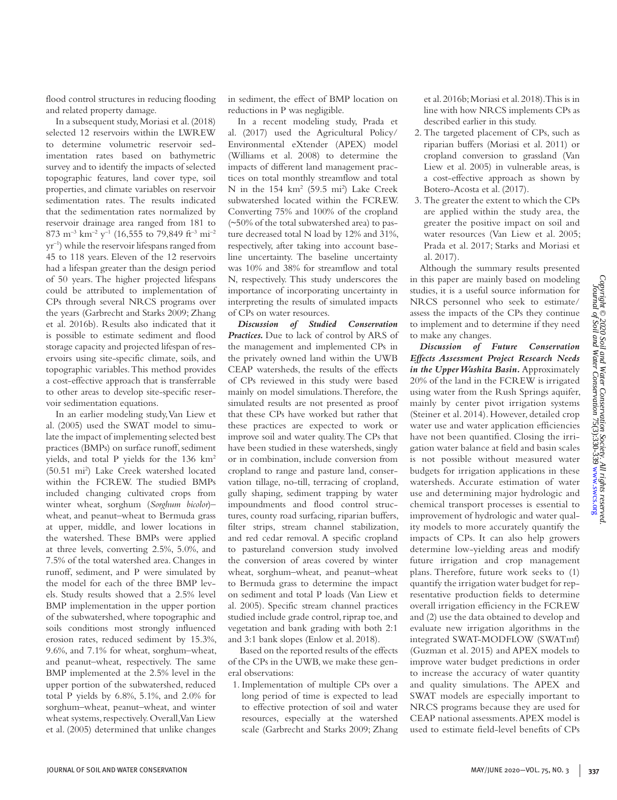flood control structures in reducing flooding and related property damage.

In a subsequent study, Moriasi et al. (2018) selected 12 reservoirs within the LWREW to determine volumetric reservoir sedimentation rates based on bathymetric survey and to identify the impacts of selected topographic features, land cover type, soil properties, and climate variables on reservoir sedimentation rates. The results indicated that the sedimentation rates normalized by reservoir drainage area ranged from 181 to 873 m<sup>-3</sup> km<sup>-2</sup> y<sup>-1</sup> (16,555 to 79,849 ft<sup>-3</sup> mi<sup>-2</sup> yr–1) while the reservoir lifespans ranged from 45 to 118 years. Eleven of the 12 reservoirs had a lifespan greater than the design period of 50 years. The higher projected lifespans could be attributed to implementation of CPs through several NRCS programs over the years (Garbrecht and Starks 2009; Zhang et al. 2016b). Results also indicated that it is possible to estimate sediment and flood storage capacity and projected lifespan of reservoirs using site-specific climate, soils, and topographic variables. This method provides a cost-effective approach that is transferrable to other areas to develop site-specific reservoir sedimentation equations.

In an earlier modeling study, Van Liew et al. (2005) used the SWAT model to simulate the impact of implementing selected best practices (BMPs) on surface runoff, sediment yields, and total P yields for the 136 km2 (50.51 mi2 ) Lake Creek watershed located within the FCREW. The studied BMPs included changing cultivated crops from winter wheat, sorghum (*Sorghum bicolor*)– wheat, and peanut–wheat to Bermuda grass at upper, middle, and lower locations in the watershed. These BMPs were applied at three levels, converting 2.5%, 5.0%, and 7.5% of the total watershed area. Changes in runoff, sediment, and P were simulated by the model for each of the three BMP levels. Study results showed that a 2.5% level BMP implementation in the upper portion of the subwatershed, where topographic and soils conditions most strongly influenced erosion rates, reduced sediment by 15.3%, 9.6%, and 7.1% for wheat, sorghum–wheat, and peanut–wheat, respectively. The same BMP implemented at the 2.5% level in the upper portion of the subwatershed, reduced total P yields by 6.8%, 5.1%, and 2.0% for sorghum–wheat, peanut–wheat, and winter wheat systems, respectively. Overall, Van Liew et al. (2005) determined that unlike changes

in sediment, the effect of BMP location on reductions in P was negligible.

In a recent modeling study, Prada et al. (2017) used the Agricultural Policy/ Environmental eXtender (APEX) model (Williams et al. 2008) to determine the impacts of different land management practices on total monthly streamflow and total N in the  $154 \text{ km}^2$  (59.5 mi<sup>2</sup>) Lake Creek subwatershed located within the FCREW. Converting 75% and 100% of the cropland (~50% of the total subwatershed area) to pasture decreased total N load by 12% and 31%, respectively, after taking into account baseline uncertainty. The baseline uncertainty was 10% and 38% for streamflow and total N, respectively. This study underscores the importance of incorporating uncertainty in interpreting the results of simulated impacts of CPs on water resources.

*Discussion of Studied Conservation Practices.* Due to lack of control by ARS of the management and implemented CPs in the privately owned land within the UWB CEAP watersheds, the results of the effects of CPs reviewed in this study were based mainly on model simulations. Therefore, the simulated results are not presented as proof that these CPs have worked but rather that these practices are expected to work or improve soil and water quality. The CPs that have been studied in these watersheds, singly or in combination, include conversion from cropland to range and pasture land, conservation tillage, no-till, terracing of cropland, gully shaping, sediment trapping by water impoundments and flood control structures, county road surfacing, riparian buffers, filter strips, stream channel stabilization, and red cedar removal. A specific cropland to pastureland conversion study involved the conversion of areas covered by winter wheat, sorghum–wheat, and peanut–wheat to Bermuda grass to determine the impact on sediment and total P loads (Van Liew et al. 2005). Specific stream channel practices studied include grade control, riprap toe, and vegetation and bank grading with both 2:1 and 3:1 bank slopes (Enlow et al. 2018).

 Based on the reported results of the effects of the CPs in the UWB, we make these general observations:

1. Implementation of multiple CPs over a long period of time is expected to lead to effective protection of soil and water resources, especially at the watershed scale (Garbrecht and Starks 2009; Zhang et al. 2016b; Moriasi et al. 2018). This is in line with how NRCS implements CPs as described earlier in this study.

- 2. The targeted placement of CPs, such as riparian buffers (Moriasi et al. 2011) or cropland conversion to grassland (Van Liew et al. 2005) in vulnerable areas, is a cost-effective approach as shown by Botero-Acosta et al. (2017).
- 3. The greater the extent to which the CPs are applied within the study area, the greater the positive impact on soil and water resources (Van Liew et al. 2005; Prada et al. 2017; Starks and Moriasi et al. 2017).

Although the summary results presented in this paper are mainly based on modeling studies, it is a useful source information for NRCS personnel who seek to estimate/ assess the impacts of the CPs they continue to implement and to determine if they need to make any changes.

*Discussion of Future Conservation Effects Assessment Project Research Needs in the Upper Washita Basin.* Approximately 20% of the land in the FCREW is irrigated using water from the Rush Springs aquifer, mainly by center pivot irrigation systems (Steiner et al. 2014). However, detailed crop water use and water application efficiencies have not been quantified. Closing the irrigation water balance at field and basin scales is not possible without measured water budgets for irrigation applications in these watersheds. Accurate estimation of water use and determining major hydrologic and chemical transport processes is essential to improvement of hydrologic and water quality models to more accurately quantify the impacts of CPs. It can also help growers determine low-yielding areas and modify future irrigation and crop management plans. Therefore, future work seeks to (1) quantify the irrigation water budget for representative production fields to determine overall irrigation efficiency in the FCREW and (2) use the data obtained to develop and evaluate new irrigation algorithms in the integrated SWAT-MODFLOW (SWATmf) (Guzman et al. 2015) and APEX models to improve water budget predictions in order to increase the accuracy of water quantity and quality simulations. The APEX and SWAT models are especially important to NRCS programs because they are used for CEAP national assessments. APEX model is used to estimate field-level benefits of CPs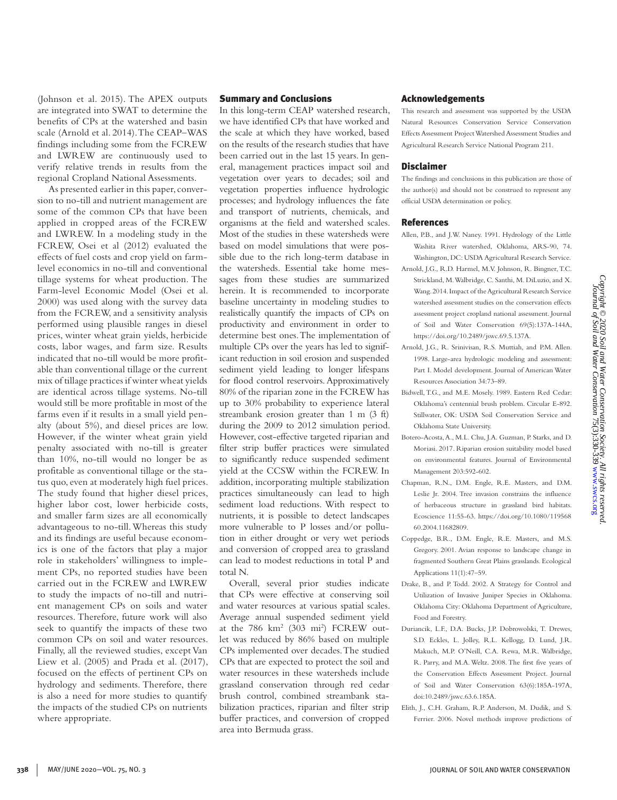(Johnson et al. 2015). The APEX outputs are integrated into SWAT to determine the benefits of CPs at the watershed and basin scale (Arnold et al. 2014). The CEAP–WAS findings including some from the FCREW and LWREW are continuously used to verify relative trends in results from the regional Cropland National Assessments.

 As presented earlier in this paper, conversion to no-till and nutrient management are some of the common CPs that have been applied in cropped areas of the FCREW and LWREW. In a modeling study in the FCREW, Osei et al (2012) evaluated the effects of fuel costs and crop yield on farmlevel economics in no-till and conventional tillage systems for wheat production. The Farm-level Economic Model (Osei et al. 2000) was used along with the survey data from the FCREW, and a sensitivity analysis performed using plausible ranges in diesel prices, winter wheat grain yields, herbicide costs, labor wages, and farm size. Results indicated that no-till would be more profitable than conventional tillage or the current mix of tillage practices if winter wheat yields are identical across tillage systems. No-till would still be more profitable in most of the farms even if it results in a small yield penalty (about 5%), and diesel prices are low. However, if the winter wheat grain yield penalty associated with no-till is greater than 10%, no-till would no longer be as profitable as conventional tillage or the status quo, even at moderately high fuel prices. The study found that higher diesel prices, higher labor cost, lower herbicide costs, and smaller farm sizes are all economically advantageous to no-till. Whereas this study and its findings are useful because economics is one of the factors that play a major role in stakeholders' willingness to implement CPs, no reported studies have been carried out in the FCREW and LWREW to study the impacts of no-till and nutrient management CPs on soils and water resources. Therefore, future work will also seek to quantify the impacts of these two common CPs on soil and water resources. Finally, all the reviewed studies, except Van Liew et al. (2005) and Prada et al. (2017), focused on the effects of pertinent CPs on hydrology and sediments. Therefore, there is also a need for more studies to quantify the impacts of the studied CPs on nutrients where appropriate.

## Summary and Conclusions

In this long-term CEAP watershed research, we have identified CPs that have worked and the scale at which they have worked, based on the results of the research studies that have been carried out in the last 15 years. In general, management practices impact soil and vegetation over years to decades; soil and vegetation properties influence hydrologic processes; and hydrology influences the fate and transport of nutrients, chemicals, and organisms at the field and watershed scales. Most of the studies in these watersheds were based on model simulations that were possible due to the rich long-term database in the watersheds. Essential take home messages from these studies are summarized herein. It is recommended to incorporate baseline uncertainty in modeling studies to realistically quantify the impacts of CPs on productivity and environment in order to determine best ones. The implementation of multiple CPs over the years has led to significant reduction in soil erosion and suspended sediment yield leading to longer lifespans for flood control reservoirs. Approximatively 80% of the riparian zone in the FCREW has up to 30% probability to experience lateral streambank erosion greater than 1 m (3 ft) during the 2009 to 2012 simulation period. However, cost-effective targeted riparian and filter strip buffer practices were simulated to significantly reduce suspended sediment yield at the CCSW within the FCREW. In addition, incorporating multiple stabilization practices simultaneously can lead to high sediment load reductions. With respect to nutrients, it is possible to detect landscapes more vulnerable to P losses and/or pollution in either drought or very wet periods and conversion of cropped area to grassland can lead to modest reductions in total P and total N.

Overall, several prior studies indicate that CPs were effective at conserving soil and water resources at various spatial scales. Average annual suspended sediment yield at the 786 km2 (303 mi2 ) FCREW outlet was reduced by 86% based on multiple CPs implemented over decades. The studied CPs that are expected to protect the soil and water resources in these watersheds include grassland conservation through red cedar brush control, combined streambank stabilization practices, riparian and filter strip buffer practices, and conversion of cropped area into Bermuda grass.

## Acknowledgements

This research and assessment was supported by the USDA Natural Resources Conservation Service Conservation Effects Assessment Project Watershed Assessment Studies and Agricultural Research Service National Program 211.

#### Disclaimer

The findings and conclusions in this publication are those of the author(s) and should not be construed to represent any official USDA determination or policy.

#### References

- Allen, P.B., and J.W. Naney. 1991. Hydrology of the Little Washita River watershed, Oklahoma, ARS-90, 74. Washington, DC: USDA Agricultural Research Service.
- Arnold, J.G., R.D. Harmel, M.V. Johnson, R. Bingner, T.C. Strickland, M. Walbridge, C. Santhi, M. DiLuzio, and X. Wang. 2014. Impact of the Agricultural Research Service watershed assessment studies on the conservation effects assessment project cropland national assessment. Journal of Soil and Water Conservation 69(5):137A-144A, https://doi.org/10.2489/jswc.69.5.137A.
- Arnold, J.G., R. Srinivisan, R.S. Muttiah, and P.M. Allen. 1998. Large-area hydrologic modeling and assessment: Part I. Model development. Journal of American Water Resources Association 34:73–89.
- Bidwell, T.G., and M.E. Mosely. 1989. Eastern Red Cedar: Oklahoma's centennial brush problem. Circular E-892. Stillwater, OK: USDA Soil Conservation Service and Oklahoma State University.
- Botero-Acosta, A., M.L. Chu, J.A. Guzman, P. Starks, and D. Moriasi. 2017. Riparian erosion suitability model based on environmental features. Journal of Environmental Management 203:592-602.
- Chapman, R.N., D.M. Engle, R.E. Masters, and D.M. Leslie Jr. 2004. Tree invasion constrains the influence of herbaceous structure in grassland bird habitats. Ecoscience 11:55-63. https://doi.org/10.1080/119568 60.2004.11682809.
- Coppedge, B.R., D.M. Engle, R.E. Masters, and M.S. Gregory. 2001. Avian response to landscape change in fragmented Southern Great Plains grasslands. Ecological Applications 11(1):47–59.
- Drake, B., and P. Todd. 2002. A Strategy for Control and Utilization of Invasive Juniper Species in Oklahoma. Oklahoma City: Oklahoma Department of Agriculture, Food and Forestry.
- Duriancik, L.F., D.A. Bucks, J.P. Dobrowolski, T. Drewes, S.D. Eckles, L. Jolley, R.L. Kellogg, D. Lund, J.R. Makuch, M.P. O'Neill, C.A. Rewa, M.R. Walbridge, R. Parry, and M.A. Weltz. 2008. The first five years of the Conservation Effects Assessment Project. Journal of Soil and Water Conservation 63(6):185A-197A, doi:10.2489/jswc.63.6.185A.
- Elith, J., C.H. Graham, R.P. Anderson, M. Dudik, and S. Ferrier. 2006. Novel methods improve predictions of